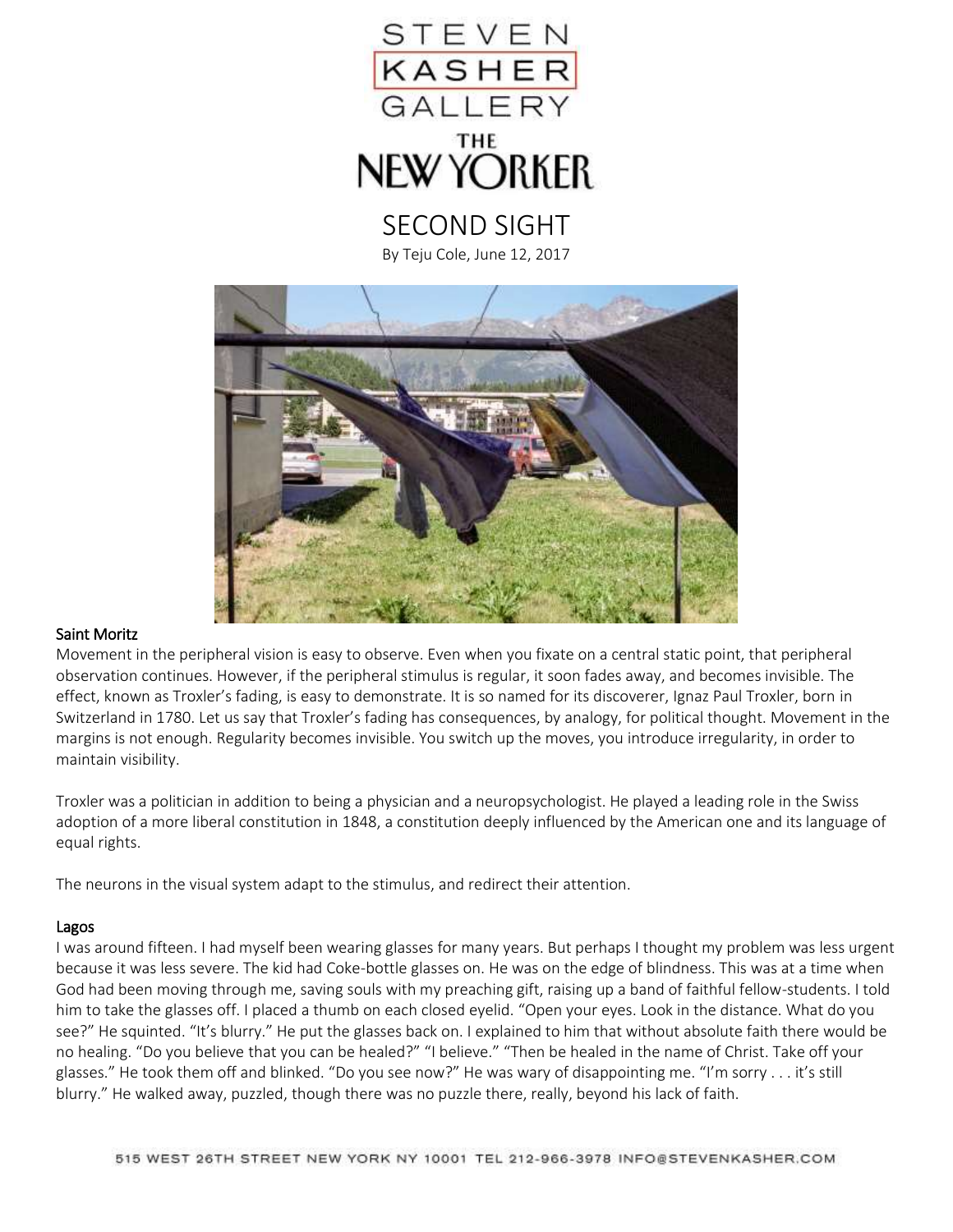

By Teju Cole, June 12, 2017



# Saint Moritz

Movement in the peripheral vision is easy to observe. Even when you fixate on a central static point, that peripheral observation continues. However, if the peripheral stimulus is regular, it soon fades away, and becomes invisible. The effect, known as Troxler's fading, is easy to demonstrate. It is so named for its discoverer, Ignaz Paul Troxler, born in Switzerland in 1780. Let us say that Troxler's fading has consequences, by analogy, for political thought. Movement in the margins is not enough. Regularity becomes invisible. You switch up the moves, you introduce irregularity, in order to maintain visibility.

Troxler was a politician in addition to being a physician and a neuropsychologist. He played a leading role in the Swiss adoption of a more liberal constitution in 1848, a constitution deeply influenced by the American one and its language of equal rights.

The neurons in the visual system adapt to the stimulus, and redirect their attention.

### Lagos

I was around fifteen. I had myself been wearing glasses for many years. But perhaps I thought my problem was less urgent because it was less severe. The kid had Coke-bottle glasses on. He was on the edge of blindness. This was at a time when God had been moving through me, saving souls with my preaching gift, raising up a band of faithful fellow-students. I told him to take the glasses off. I placed a thumb on each closed eyelid. "Open your eyes. Look in the distance. What do you see?" He squinted. "It's blurry." He put the glasses back on. I explained to him that without absolute faith there would be no healing. "Do you believe that you can be healed?" "I believe." "Then be healed in the name of Christ. Take off your glasses." He took them off and blinked. "Do you see now?" He was wary of disappointing me. "I'm sorry . . . it's still blurry." He walked away, puzzled, though there was no puzzle there, really, beyond his lack of faith.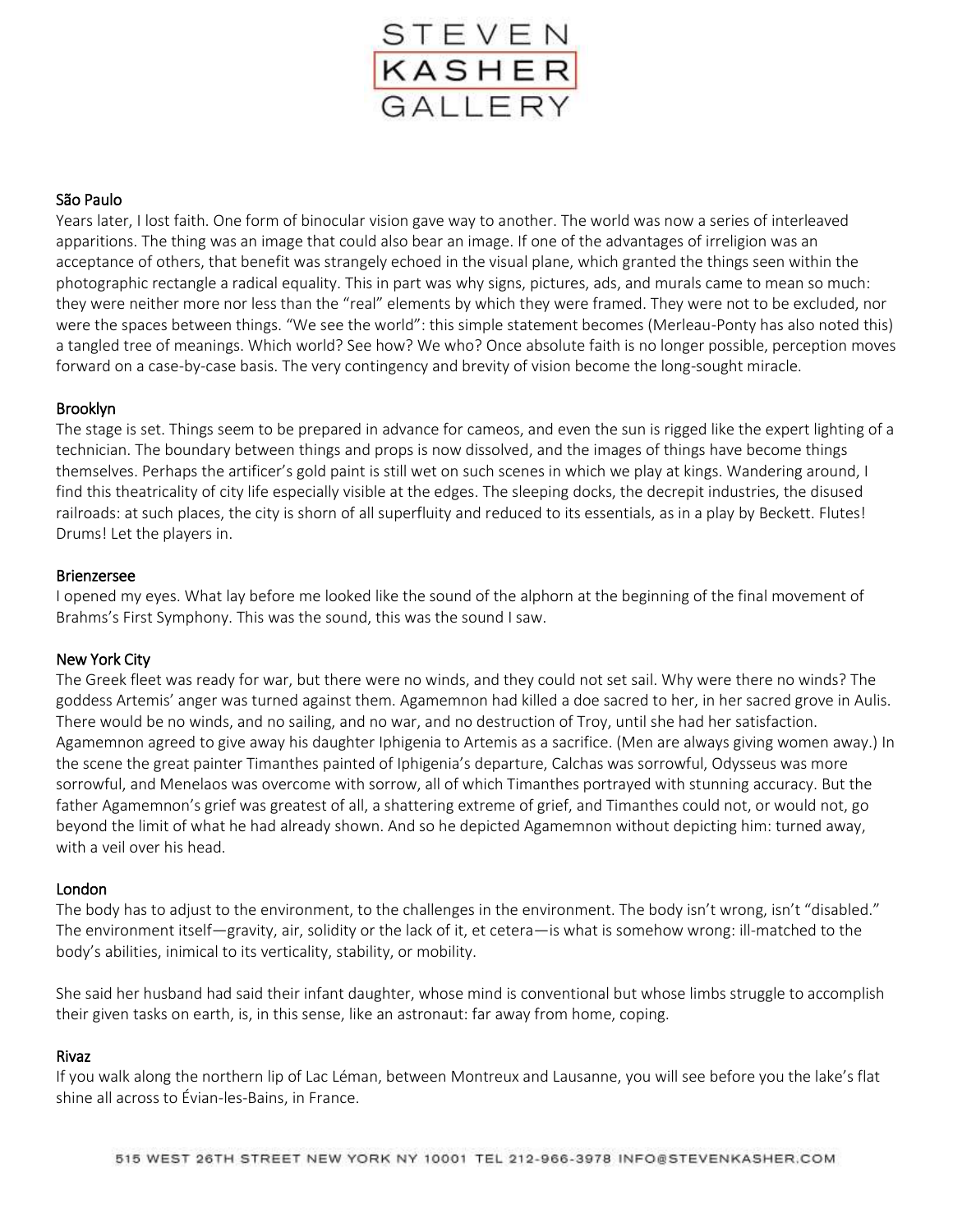

## São Paulo

Years later, I lost faith. One form of binocular vision gave way to another. The world was now a series of interleaved apparitions. The thing was an image that could also bear an image. If one of the advantages of irreligion was an acceptance of others, that benefit was strangely echoed in the visual plane, which granted the things seen within the photographic rectangle a radical equality. This in part was why signs, pictures, ads, and murals came to mean so much: they were neither more nor less than the "real" elements by which they were framed. They were not to be excluded, nor were the spaces between things. "We see the world": this simple statement becomes (Merleau-Ponty has also noted this) a tangled tree of meanings. Which world? See how? We who? Once absolute faith is no longer possible, perception moves forward on a case-by-case basis. The very contingency and brevity of vision become the long-sought miracle.

### Brooklyn

The stage is set. Things seem to be prepared in advance for cameos, and even the sun is rigged like the expert lighting of a technician. The boundary between things and props is now dissolved, and the images of things have become things themselves. Perhaps the artificer's gold paint is still wet on such scenes in which we play at kings. Wandering around, I find this theatricality of city life especially visible at the edges. The sleeping docks, the decrepit industries, the disused railroads: at such places, the city is shorn of all superfluity and reduced to its essentials, as in a play by Beckett. Flutes! Drums! Let the players in.

### Brienzersee

I opened my eyes. What lay before me looked like the sound of the alphorn at the beginning of the final movement of Brahms's First Symphony. This was the sound, this was the sound I saw.

# New York City

The Greek fleet was ready for war, but there were no winds, and they could not set sail. Why were there no winds? The goddess Artemis' anger was turned against them. Agamemnon had killed a doe sacred to her, in her sacred grove in Aulis. There would be no winds, and no sailing, and no war, and no destruction of Troy, until she had her satisfaction. Agamemnon agreed to give away his daughter Iphigenia to Artemis as a sacrifice. (Men are always giving women away.) In the scene the great painter Timanthes painted of Iphigenia's departure, Calchas was sorrowful, Odysseus was more sorrowful, and Menelaos was overcome with sorrow, all of which Timanthes portrayed with stunning accuracy. But the father Agamemnon's grief was greatest of all, a shattering extreme of grief, and Timanthes could not, or would not, go beyond the limit of what he had already shown. And so he depicted Agamemnon without depicting him: turned away, with a veil over his head.

### London

The body has to adjust to the environment, to the challenges in the environment. The body isn't wrong, isn't "disabled." The environment itself—gravity, air, solidity or the lack of it, et cetera—is what is somehow wrong: ill-matched to the body's abilities, inimical to its verticality, stability, or mobility.

She said her husband had said their infant daughter, whose mind is conventional but whose limbs struggle to accomplish their given tasks on earth, is, in this sense, like an astronaut: far away from home, coping.

### Rivaz

If you walk along the northern lip of Lac Léman, between Montreux and Lausanne, you will see before you the lake's flat shine all across to Évian-les-Bains, in France.